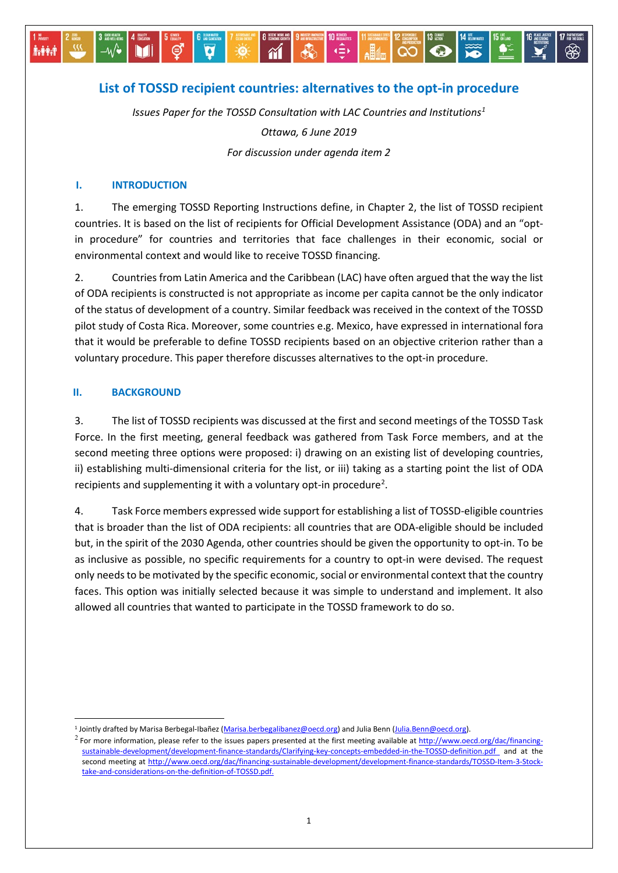# **List of TOSSD recipient countries: alternatives to the opt-in procedure**

省

 $\overline{\mathbf{a}}$ 

⊜

Ö

 $\langle \frac{2}{3} \rangle$ 

 $ABA$ 

 $\bullet$ 

*Issues Paper for the TOSSD Consultation with LAC Countries and Institutions[1](#page-0-0)*

*Ottawa, 6 June 2019 For discussion under agenda item 2*

#### **I. INTRODUCTION**

–∿⁄•

M

**İvitid** 

1. The emerging TOSSD Reporting Instructions define, in Chapter 2, the list of TOSSD recipient countries. It is based on the list of recipients for Official Development Assistance (ODA) and an "optin procedure" for countries and territories that face challenges in their economic, social or environmental context and would like to receive TOSSD financing.

2. Countries from Latin America and the Caribbean (LAC) have often argued that the way the list of ODA recipients is constructed is not appropriate as income per capita cannot be the only indicator of the status of development of a country. Similar feedback was received in the context of the TOSSD pilot study of Costa Rica. Moreover, some countries e.g. Mexico, have expressed in international fora that it would be preferable to define TOSSD recipients based on an objective criterion rather than a voluntary procedure. This paper therefore discusses alternatives to the opt-in procedure.

#### **II. BACKGROUND**

3. The list of TOSSD recipients was discussed at the first and second meetings of the TOSSD Task Force. In the first meeting, general feedback was gathered from Task Force members, and at the second meeting three options were proposed: i) drawing on an existing list of developing countries, ii) establishing multi-dimensional criteria for the list, or iii) taking as a starting point the list of ODA recipients and supplementing it with a voluntary opt-in procedure<sup>2</sup>.

4. Task Force members expressed wide support for establishing a list of TOSSD-eligible countries that is broader than the list of ODA recipients: all countries that are ODA-eligible should be included but, in the spirit of the 2030 Agenda, other countries should be given the opportunity to opt-in. To be as inclusive as possible, no specific requirements for a country to opt-in were devised. The request only needs to be motivated by the specific economic, social or environmental context that the country faces. This option was initially selected because it was simple to understand and implement. It also allowed all countries that wanted to participate in the TOSSD framework to do so.

<span id="page-0-0"></span><sup>1</sup> Jointly drafted by Marisa Berbegal-Ibañez [\(Marisa.berbegalibanez@oecd.org\)](mailto:Marisa.berbegalibanez@oecd.org) and Julia Benn [\(Julia.Benn@oecd.org\).](mailto:Julia.Benn@oecd.org)

<span id="page-0-1"></span> $2$  For more information, please refer to the issues papers presented at the first meeting available a[t http://www.oecd.org/dac/financing](http://www.oecd.org/dac/financing-sustainable-development/development-finance-standards/Clarifying-key-concepts-embedded-in-the-TOSSD-definition.pdf)[sustainable-development/development-finance-standards/Clarifying-key-concepts-embedded-in-the-TOSSD-definition.pdf](http://www.oecd.org/dac/financing-sustainable-development/development-finance-standards/Clarifying-key-concepts-embedded-in-the-TOSSD-definition.pdf) and at the second meeting at [http://www.oecd.org/dac/financing-sustainable-development/development-finance-standards/TOSSD-Item-3-Stock](http://www.oecd.org/dac/financing-sustainable-development/development-finance-standards/TOSSD-Item-3-Stock-take-and-considerations-on-the-definition-of-TOSSD.pdf)[take-and-considerations-on-the-definition-of-TOSSD.pdf.](http://www.oecd.org/dac/financing-sustainable-development/development-finance-standards/TOSSD-Item-3-Stock-take-and-considerations-on-the-definition-of-TOSSD.pdf)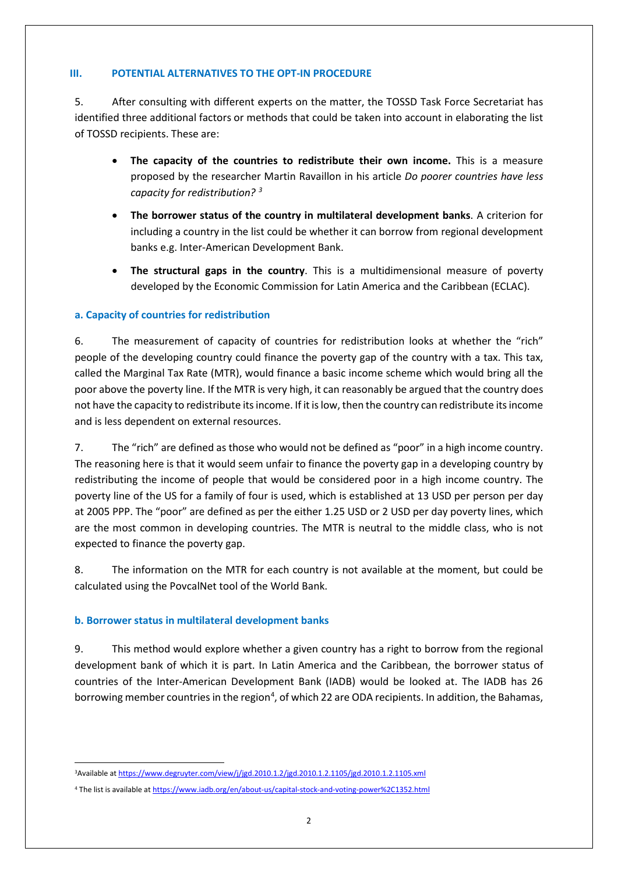#### **III. POTENTIAL ALTERNATIVES TO THE OPT-IN PROCEDURE**

5. After consulting with different experts on the matter, the TOSSD Task Force Secretariat has identified three additional factors or methods that could be taken into account in elaborating the list of TOSSD recipients. These are:

- **The capacity of the countries to redistribute their own income.** This is a measure proposed by the researcher Martin Ravaillon in his article *Do poorer countries have less capacity for redistribution? [3](#page-1-0)*
- **The borrower status of the country in multilateral development banks**. A criterion for including a country in the list could be whether it can borrow from regional development banks e.g. Inter-American Development Bank.
- **The structural gaps in the country**. This is a multidimensional measure of poverty developed by the Economic Commission for Latin America and the Caribbean (ECLAC).

# **a. Capacity of countries for redistribution**

6. The measurement of capacity of countries for redistribution looks at whether the "rich" people of the developing country could finance the poverty gap of the country with a tax. This tax, called the Marginal Tax Rate (MTR), would finance a basic income scheme which would bring all the poor above the poverty line. If the MTR is very high, it can reasonably be argued that the country does not have the capacity to redistribute its income. If it is low, then the country can redistribute its income and is less dependent on external resources.

7. The "rich" are defined as those who would not be defined as "poor" in a high income country. The reasoning here is that it would seem unfair to finance the poverty gap in a developing country by redistributing the income of people that would be considered poor in a high income country. The poverty line of the US for a family of four is used, which is established at 13 USD per person per day at 2005 PPP. The "poor" are defined as per the either 1.25 USD or 2 USD per day poverty lines, which are the most common in developing countries. The MTR is neutral to the middle class, who is not expected to finance the poverty gap.

8. The information on the MTR for each country is not available at the moment, but could be calculated using the PovcalNet tool of the World Bank.

# **b. Borrower status in multilateral development banks**

9. This method would explore whether a given country has a right to borrow from the regional development bank of which it is part. In Latin America and the Caribbean, the borrower status of countries of the Inter-American Development Bank (IADB) would be looked at. The IADB has 26 borrowing member countries in the region<sup>[4](#page-1-1)</sup>, of which 22 are ODA recipients. In addition, the Bahamas,

<span id="page-1-0"></span> $\frac{1}{3}$ <sup>3</sup>Available a[t https://www.degruyter.com/view/j/jgd.2010.1.2/jgd.2010.1.2.1105/jgd.2010.1.2.1105.xml](https://www.degruyter.com/view/j/jgd.2010.1.2/jgd.2010.1.2.1105/jgd.2010.1.2.1105.xml)

<span id="page-1-1"></span><sup>4</sup> The list is available a[t https://www.iadb.org/en/about-us/capital-stock-and-voting-power%2C1352.html](https://www.iadb.org/en/about-us/capital-stock-and-voting-power%2C1352.html)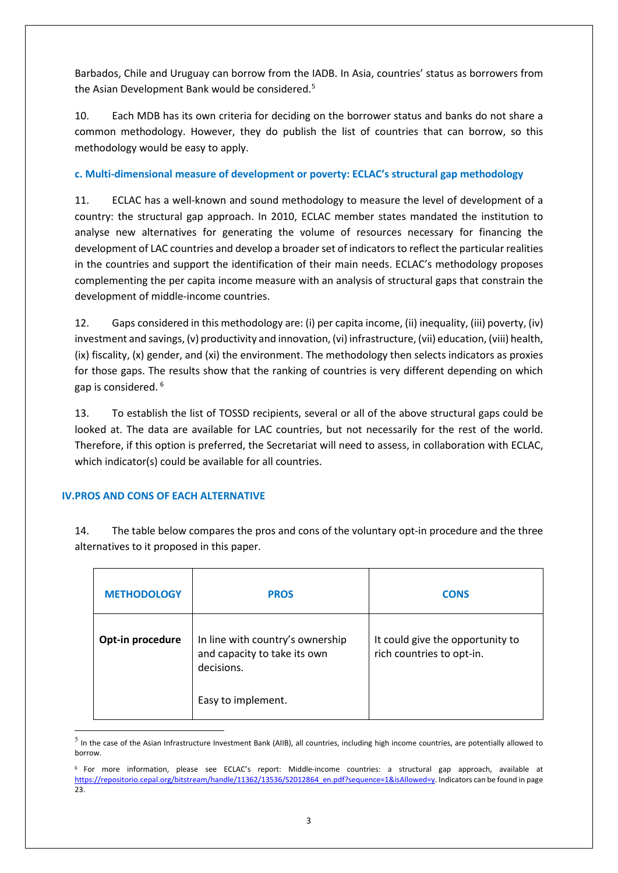Barbados, Chile and Uruguay can borrow from the IADB. In Asia, countries' status as borrowers from the Asian Development Bank would be considered[.5](#page-2-0)

10. Each MDB has its own criteria for deciding on the borrower status and banks do not share a common methodology. However, they do publish the list of countries that can borrow, so this methodology would be easy to apply.

# **c. Multi-dimensional measure of development or poverty: ECLAC's structural gap methodology**

11. ECLAC has a well-known and sound methodology to measure the level of development of a country: the structural gap approach. In 2010, ECLAC member states mandated the institution to analyse new alternatives for generating the volume of resources necessary for financing the development of LAC countries and develop a broader set of indicators to reflect the particular realities in the countries and support the identification of their main needs. ECLAC's methodology proposes complementing the per capita income measure with an analysis of structural gaps that constrain the development of middle-income countries.

12. Gaps considered in this methodology are: (i) per capita income, (ii) inequality, (iii) poverty, (iv) investment and savings, (v) productivity and innovation, (vi) infrastructure, (vii) education, (viii) health, (ix) fiscality, (x) gender, and (xi) the environment. The methodology then selects indicators as proxies for those gaps. The results show that the ranking of countries is very different depending on which gap is considered. [6](#page-2-1)

13. To establish the list of TOSSD recipients, several or all of the above structural gaps could be looked at. The data are available for LAC countries, but not necessarily for the rest of the world. Therefore, if this option is preferred, the Secretariat will need to assess, in collaboration with ECLAC, which indicator(s) could be available for all countries.

# **IV.PROS AND CONS OF EACH ALTERNATIVE**

**.** 

14. The table below compares the pros and cons of the voluntary opt-in procedure and the three alternatives to it proposed in this paper.

| <b>METHODOLOGY</b> | <b>PROS</b>                                                                    | <b>CONS</b>                                                   |
|--------------------|--------------------------------------------------------------------------------|---------------------------------------------------------------|
| Opt-in procedure   | In line with country's ownership<br>and capacity to take its own<br>decisions. | It could give the opportunity to<br>rich countries to opt-in. |
|                    | Easy to implement.                                                             |                                                               |

<span id="page-2-0"></span> $<sup>5</sup>$  In the case of the Asian Infrastructure Investment Bank (AIIB), all countries, including high income countries, are potentially allowed to</sup> borrow.

<span id="page-2-1"></span><sup>6</sup> For more information, please see ECLAC's report: Middle-income countries: a structural gap approach, available at [https://repositorio.cepal.org/bitstream/handle/11362/13536/S2012864\\_en.pdf?sequence=1&isAllowed=y.](https://repositorio.cepal.org/bitstream/handle/11362/13536/S2012864_en.pdf?sequence=1&isAllowed=y) Indicators can be found in page 23.